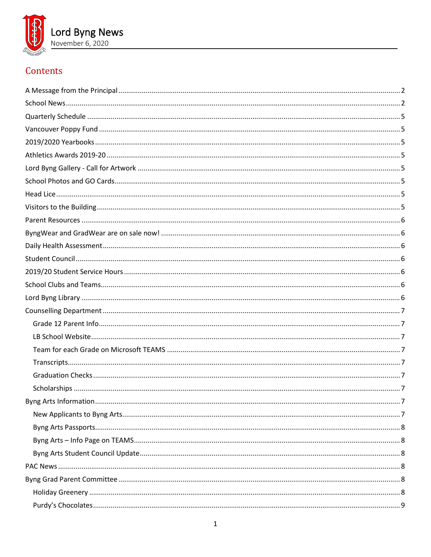

# Contents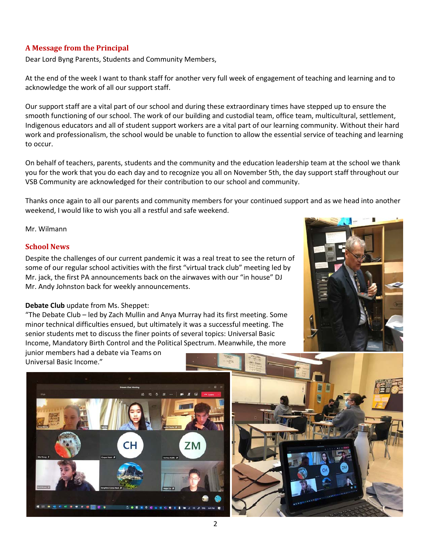# <span id="page-1-0"></span>**A Message from the Principal**

Dear Lord Byng Parents, Students and Community Members,

At the end of the week I want to thank staff for another very full week of engagement of teaching and learning and to acknowledge the work of all our support staff.

Our support staff are a vital part of our school and during these extraordinary times have stepped up to ensure the smooth functioning of our school. The work of our building and custodial team, office team, multicultural, settlement, Indigenous educators and all of student support workers are a vital part of our learning community. Without their hard work and professionalism, the school would be unable to function to allow the essential service of teaching and learning to occur.

On behalf of teachers, parents, students and the community and the education leadership team at the school we thank you for the work that you do each day and to recognize you all on November 5th, the day support staff throughout our VSB Community are acknowledged for their contribution to our school and community.

Thanks once again to all our parents and community members for your continued support and as we head into another weekend, I would like to wish you all a restful and safe weekend.

#### <span id="page-1-1"></span>Mr. Wilmann

## **School News**

Despite the challenges of our current pandemic it was a real treat to see the return of some of our regular school activities with the first "virtual track club" meeting led by Mr. jack, the first PA announcements back on the airwaves with our "in house" DJ Mr. Andy Johnston back for weekly announcements.

## **Debate Club** update from Ms. Sheppet:

"The Debate Club – led by Zach Mullin and Anya Murray had its first meeting. Some minor technical difficulties ensued, but ultimately it was a successful meeting. The senior students met to discuss the finer points of several topics: Universal Basic Income, Mandatory Birth Control and the Political Spectrum. Meanwhile, the more

junior members had a debate via Teams on Universal Basic Income."



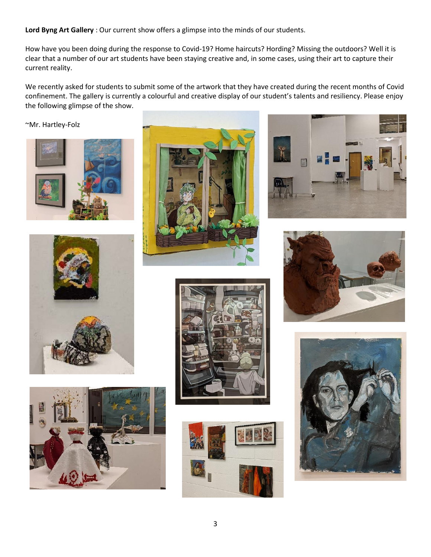**Lord Byng Art Gallery** : Our current show offers a glimpse into the minds of our students.

How have you been doing during the response to Covid-19? Home haircuts? Hording? Missing the outdoors? Well it is clear that a number of our art students have been staying creative and, in some cases, using their art to capture their current reality.

We recently asked for students to submit some of the artwork that they have created during the recent months of Covid confinement. The gallery is currently a colourful and creative display of our student's talents and resiliency. Please enjoy the following glimpse of the show.

~Mr. Hartley-Folz

















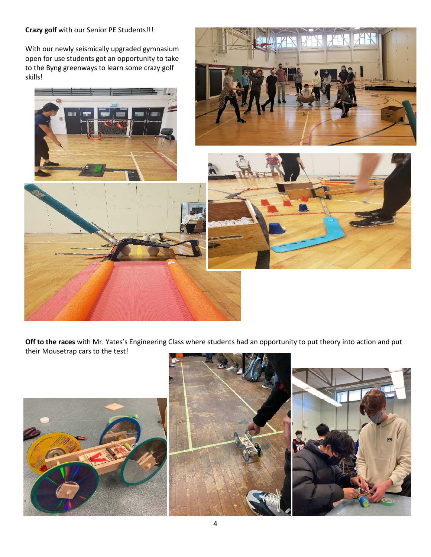## **Crazy golf** with our Senior PE Students!!!

With our newly seismically upgraded gymnasium open for use students got an opportunity to take to the Byng greenways to learn some crazy golf skills!









**Off to the races** with Mr. Yates's Engineering Class where students had an opportunity to put theory into action and put their Mousetrap cars to the test!

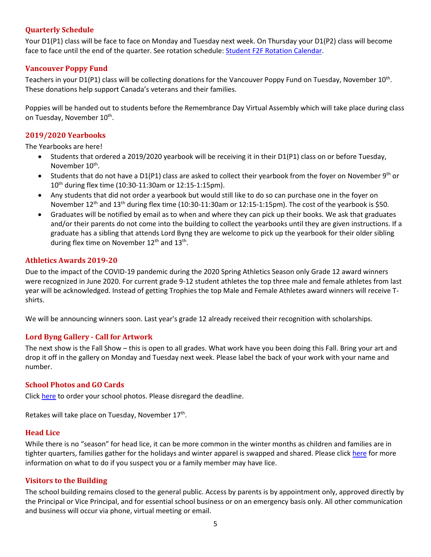## <span id="page-4-0"></span>**Quarterly Schedule**

Your D1(P1) class will be face to face on Monday and Tuesday next week. On Thursday your D1(P2) class will become face to face until the end of the quarter. See rotation schedule[: Student F2F Rotation Calendar.](https://www.vsb.bc.ca/repository/SBAttachments/8e11130a-23bc-4157-9294-1c252018cc4d_STUDENTF2FandRemoteBlockCalendar2020-2021.pdf)

## <span id="page-4-1"></span>**Vancouver Poppy Fund**

Teachers in your D1(P1) class will be collecting donations for the Vancouver Poppy Fund on Tuesday, November  $10^{th}$ . These donations help support Canada's veterans and their families.

Poppies will be handed out to students before the Remembrance Day Virtual Assembly which will take place during class on Tuesday, November 10<sup>th</sup>.

# <span id="page-4-2"></span>**2019/2020 Yearbooks**

The Yearbooks are here!

- Students that ordered a 2019/2020 yearbook will be receiving it in their D1(P1) class on or before Tuesday, November 10<sup>th</sup>.
- Students that do not have a  $D1(P1)$  class are asked to collect their yearbook from the foyer on November 9<sup>th</sup> or 10<sup>th</sup> during flex time (10:30-11:30am or 12:15-1:15pm).
- Any students that did not order a yearbook but would still like to do so can purchase one in the foyer on November 12<sup>th</sup> and 13<sup>th</sup> during flex time (10:30-11:30am or 12:15-1:15pm). The cost of the yearbook is \$50.
- Graduates will be notified by email as to when and where they can pick up their books. We ask that graduates and/or their parents do not come into the building to collect the yearbooks until they are given instructions. If a graduate has a sibling that attends Lord Byng they are welcome to pick up the yearbook for their older sibling during flex time on November  $12<sup>th</sup>$  and  $13<sup>th</sup>$ .

## <span id="page-4-3"></span>**Athletics Awards 2019-20**

Due to the impact of the COVID-19 pandemic during the 2020 Spring Athletics Season only Grade 12 award winners were recognized in June 2020. For current grade 9-12 student athletes the top three male and female athletes from last year will be acknowledged. Instead of getting Trophies the top Male and Female Athletes award winners will receive Tshirts.

<span id="page-4-4"></span>We will be announcing winners soon. Last year's grade 12 already received their recognition with scholarships.

## **Lord Byng Gallery - Call for Artwork**

The next show is the Fall Show – this is open to all grades. What work have you been doing this Fall. Bring your art and drop it off in the gallery on Monday and Tuesday next week. Please label the back of your work with your name and number.

## <span id="page-4-5"></span>**School Photos and GO Cards**

Click [here](https://artona.com/schools/BYNG/programs/school_photo) to order your school photos. Please disregard the deadline.

<span id="page-4-6"></span>Retakes will take place on Tuesday, November  $17<sup>th</sup>$ .

## **Head Lice**

While there is no "season" for head lice, it can be more common in the winter months as children and families are in tighter quarters, families gather for the holidays and winter apparel is swapped and shared. Please clic[k here](https://vch.eduhealth.ca/PDFs/FG/FG.650.G48.pdf) for more information on what to do if you suspect you or a family member may have lice.

## <span id="page-4-7"></span>**Visitors to the Building**

The school building remains closed to the general public. Access by parents is by appointment only, approved directly by the Principal or Vice Principal, and for essential school business or on an emergency basis only. All other communication and business will occur via phone, virtual meeting or email.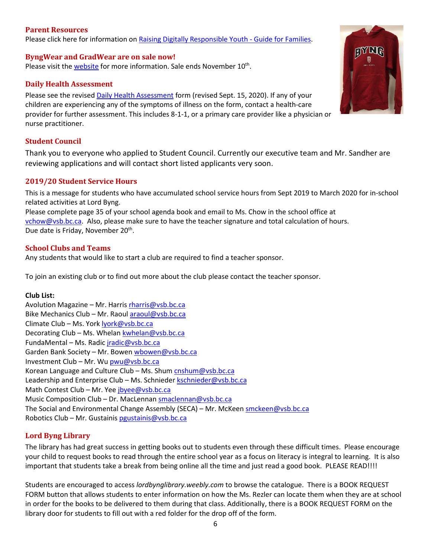## <span id="page-5-0"></span>**Parent Resources**

<span id="page-5-1"></span>Please click here for information on Raising [Digitally Responsible Youth -](https://saferschoolstogether.com/wp-content/uploads/2020/03/Raising-Digitally-Responsible-Youth-Guide-2020.pdf) Guide for Families.

**ByngWear and GradWear are on sale now!** Please visit the [website](https://www.vsb.bc.ca/schools/lord-byng/About-Us/news/_layouts/15/ci/post.aspx?oaid=b3f94390-36b9-48ba-9b0b-57e4d73adb4e&oact=20001) for more information. Sale ends November 10<sup>th</sup>.

## <span id="page-5-2"></span>**Daily Health Assessment**

Please see the revised [Daily Health Assessment](https://www.vsb.bc.ca/repository/SBAttachments/8e11130a-23bc-4157-9294-1c252018cc4d_DailyHealthAssessment-Student_Sept15003.pdf) form (revised Sept. 15, 2020). If any of your children are experiencing any of the symptoms of illness on the form, contact a health-care provider for further assessment. This includes 8-1-1, or a primary care provider like a physician or nurse practitioner.

# <span id="page-5-3"></span>**Student Council**

Thank you to everyone who applied to Student Council. Currently our executive team and Mr. Sandher are reviewing applications and will contact short listed applicants very soon.

# <span id="page-5-4"></span>**2019/20 Student Service Hours**

This is a message for students who have accumulated school service hours from Sept 2019 to March 2020 for in-school related activities at Lord Byng.

Please complete page 35 of your school agenda book and email to Ms. Chow in the school office at [vchow@vsb.bc.ca.](mailto:vchow@vsb.bc.ca) Also, please make sure to have the teacher signature and total calculation of hours. Due date is Friday, November 20<sup>th</sup>.

## <span id="page-5-5"></span>**School Clubs and Teams**

Any students that would like to start a club are required to find a teacher sponsor.

To join an existing club or to find out more about the club please contact the teacher sponsor.

## **Club List:**

| Avolution Magazine – Mr. Harris rharris@vsb.bc.ca                                  |
|------------------------------------------------------------------------------------|
| Bike Mechanics Club - Mr. Raoul araoul@vsb.bc.ca                                   |
| Climate Club - Ms. York lyork@vsb.bc.ca                                            |
| Decorating Club - Ms. Whelan kwhelan@vsb.bc.ca                                     |
| FundaMental - Ms. Radic jradic@vsb.bc.ca                                           |
| Garden Bank Society – Mr. Bowen wbowen@vsb.bc.ca                                   |
| Investment Club - Mr. Wu pwu@vsb.bc.ca                                             |
| Korean Language and Culture Club - Ms. Shum cnshum@vsb.bc.ca                       |
| Leadership and Enterprise Club - Ms. Schnieder kschnieder@vsb.bc.ca                |
| Math Contest Club – Mr. Yee jbyee@vsb.bc.ca                                        |
| Music Composition Club - Dr. MacLennan smaclennan@vsb.bc.ca                        |
| The Social and Environmental Change Assembly (SECA) – Mr. McKeen smckeen@vsb.bc.ca |
| Robotics Club - Mr. Gustainis pgustainis@vsb.bc.ca                                 |

# <span id="page-5-6"></span>**Lord Byng Library**

The library has had great success in getting books out to students even through these difficult times. Please encourage your child to request books to read through the entire school year as a focus on literacy is integral to learning. It is also important that students take a break from being online all the time and just read a good book. PLEASE READ!!!!

Students are encouraged to access *lordbynglibrary.weebly.com* to browse the catalogue. There is a BOOK REQUEST FORM button that allows students to enter information on how the Ms. Rezler can locate them when they are at school in order for the books to be delivered to them during that class. Additionally, there is a BOOK REQUEST FORM on the library door for students to fill out with a red folder for the drop off of the form.

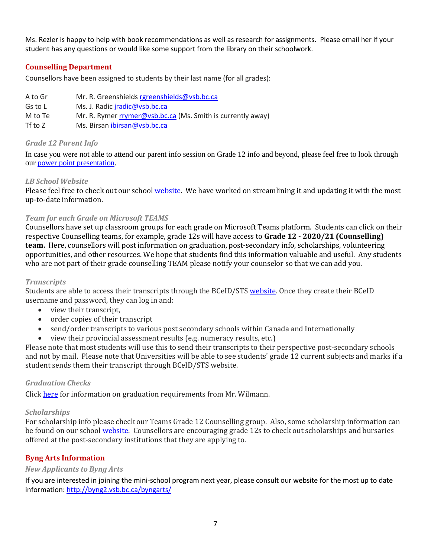Ms. Rezler is happy to help with book recommendations as well as research for assignments. Please email her if your student has any questions or would like some support from the library on their schoolwork.

# <span id="page-6-0"></span>**Counselling Department**

Counsellors have been assigned to students by their last name (for all grades):

| A to Gr   | Mr. R. Greenshields rgreenshields@vsb.bc.ca                 |
|-----------|-------------------------------------------------------------|
| Gs to L   | Ms. J. Radic <i>iradic@vsb.bc.ca</i>                        |
| M to Te   | Mr. R. Rymer rrymer@vsb.bc.ca (Ms. Smith is currently away) |
| Tf to $Z$ | Ms. Birsan ibirsan@vsb.bc.ca                                |

## <span id="page-6-1"></span>*Grade 12 Parent Info*

In case you were not able to attend our parent info session on Grade 12 info and beyond, please feel free to look through our [power point presentation.](https://www.vsb.bc.ca/schools/lord-byng/Guidance-and-Support/Grade%2012/Pages/default.aspx?rf=8f6fb35c-aac0-45a4-b5b7-a643d7220f70)

## <span id="page-6-2"></span>*LB School Website*

Please feel free to check out our school [website.](https://www.vsb.bc.ca/schools/lord-byng/Teaching-and-Learning/Classes-and-Departments/Counselling/Pages/default.aspx) We have worked on streamlining it and updating it with the most up-to-date information.

## <span id="page-6-3"></span>*Team for each Grade on Microsoft TEAMS*

Counsellors have set up classroom groups for each grade on Microsoft Teams platform. Students can click on their respective Counselling teams, for example, grade 12s will have access to **Grade 12 - 2020/21 (Counselling) team.** Here, counsellors will post information on graduation, post-secondary info, scholarships, volunteering opportunities, and other resources. We hope that students find this information valuable and useful. Any students who are not part of their grade counselling TEAM please notify your counselor so that we can add you.

## <span id="page-6-4"></span>*Transcripts*

Students are able to access their transcripts through the BCeID/STS [website.](https://www2.gov.bc.ca/gov/content/education-training/k-12/support/transcripts-and-certificates) Once they create their BCeID username and password, they can log in and:

- view their transcript,
- order copies of their transcript
- send/order transcripts to various post secondary schools within Canada and Internationally
- view their provincial assessment results (e.g. numeracy results, etc.)

Please note that most students will use this to send their transcripts to their perspective post-secondary schools and not by mail. Please note that Universities will be able to see students' grade 12 current subjects and marks if a student sends them their transcript through BCeID/STS website.

## <span id="page-6-5"></span>*Graduation Checks*

Click [here](https://www.vsb.bc.ca/schools/lord-byng/Guidance-and-Support/Grade%2012/Documents/sbfile/201020/Grad%20check%20letter%20Oct%202020_1.pdf) for information on graduation requirements from Mr. Wilmann.

## <span id="page-6-6"></span>*Scholarships*

For scholarship info please check our Teams Grade 12 Counselling group. Also, some scholarship information can be found on our school [website.](https://www.vsb.bc.ca/schools/lord-byng/Teaching-and-Learning/Classes-and-Departments/Counselling/Pages/Scholarships.aspx) Counsellors are encouraging grade 12s to check out scholarships and bursaries offered at the post-secondary institutions that they are applying to.

# <span id="page-6-7"></span>**Byng Arts Information**

## <span id="page-6-8"></span>*New Applicants to Byng Arts*

If you are interested in joining the mini-school program next year, please consult our website for the most up to date information[: http://byng2.vsb.bc.ca/byngarts/](http://byng2.vsb.bc.ca/byngarts/)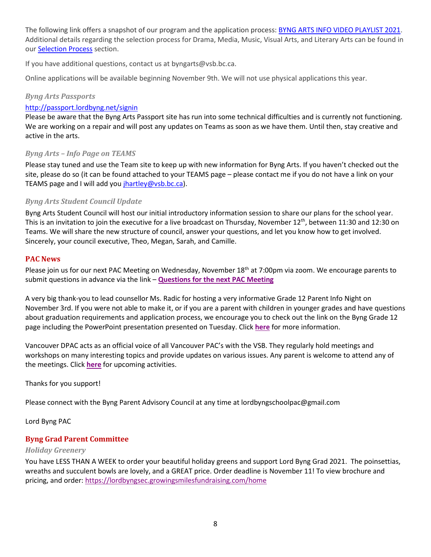The following link offers a snapshot of our program and the application process: **BYNG ARTS INFO VIDEO [PLAYLIST](https://www.youtube.com/playlist?list=PL5Gi7bfgibeqtAguBYDrs3O4XfXJh63Er) 2021**. Additional details regarding the selection process for Drama, Media, Music, Visual Arts, and Literary Arts can be found in our [Selection](http://byng2.vsb.bc.ca/byngarts/sProcess.html) Process section.

If you have additional questions, contact us at byngarts@vsb.bc.ca.

<span id="page-7-0"></span>Online applications will be available beginning November 9th. We will not use physical applications this year.

# *Byng Arts Passports*

## <http://passport.lordbyng.net/signin>

Please be aware that the Byng Arts Passport site has run into some technical difficulties and is currently not functioning. We are working on a repair and will post any updates on Teams as soon as we have them. Until then, stay creative and active in the arts.

# <span id="page-7-1"></span>*Byng Arts – Info Page on TEAMS*

Please stay tuned and use the Team site to keep up with new information for Byng Arts. If you haven't checked out the site, please do so (it can be found attached to your TEAMS page – please contact me if you do not have a link on your TEAMS page and I will add you [jhartley@vsb.bc.ca\)](mailto:jhartley@vsb.bc.ca).

## <span id="page-7-2"></span>*Byng Arts Student Council Update*

Byng Arts Student Council will host our initial introductory information session to share our plans for the school year. This is an invitation to join the executive for a live broadcast on Thursday, November  $12^{th}$ , between 11:30 and 12:30 on Teams. We will share the new structure of council, answer your questions, and let you know how to get involved. Sincerely, your council executive, Theo, Megan, Sarah, and Camille.

# <span id="page-7-3"></span>**PAC News**

Please join us for our next PAC Meeting on Wednesday, November 18<sup>th</sup> at 7:00pm via zoom. We encourage parents to submit questions in advance via the link – **[Questions for the next PAC Meeting](https://docs.google.com/forms/d/e/1FAIpQLSfJerDtb4GXuiNJEiSN0o8sR2LGbPZI7nZGm7-9qR8e1CAMGA/viewform)**

A very big thank-you to lead counsellor Ms. Radic for hosting a very informative Grade 12 Parent Info Night on November 3rd. If you were not able to make it, or if you are a parent with children in younger grades and have questions about graduation requirements and application process, we encourage you to check out the link on the Byng Grade 12 page including the PowerPoint presentation presented on Tuesday. Click **[here](https://www.vsb.bc.ca/schools/lord-byng/Guidance-and-Support/Grade%2012/Pages/default.aspx)** for more information.

Vancouver DPAC acts as an official voice of all Vancouver PAC's with the VSB. They regularly hold meetings and workshops on many interesting topics and provide updates on various issues. Any parent is welcome to attend any of the meetings. Click **[here](https://mailchi.mp/3b82bbeea4cb/dpacs-october-newsletter-4963346?e=07e018f18b)** for upcoming activities.

Thanks for you support!

Please connect with the Byng Parent Advisory Council at any time at lordbyngschoolpac@gmail.com

<span id="page-7-4"></span>Lord Byng PAC

# **Byng Grad Parent Committee**

## <span id="page-7-5"></span>*Holiday Greenery*

You have LESS THAN A WEEK to order your beautiful holiday greens and support Lord Byng Grad 2021. The poinsettias, wreaths and succulent bowls are lovely, and a GREAT price. Order deadline is November 11! To view brochure and pricing, and order: <https://lordbyngsec.growingsmilesfundraising.com/home>